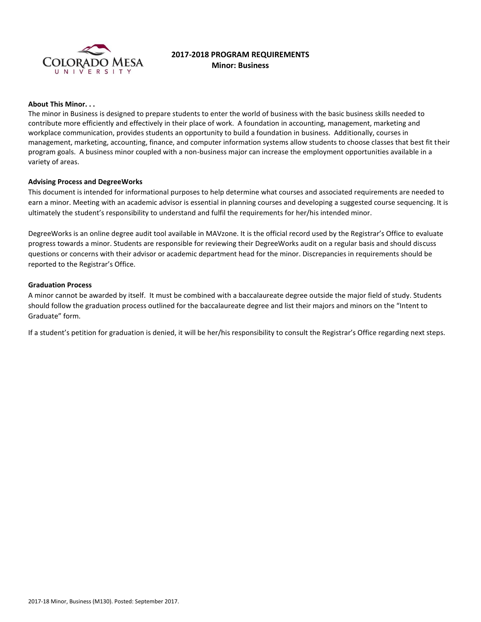

# **2017-2018 PROGRAM REQUIREMENTS Minor: Business**

# **About This Minor. . .**

The minor in Business is designed to prepare students to enter the world of business with the basic business skills needed to contribute more efficiently and effectively in their place of work. A foundation in accounting, management, marketing and workplace communication, provides students an opportunity to build a foundation in business. Additionally, courses in management, marketing, accounting, finance, and computer information systems allow students to choose classes that best fit their program goals. A business minor coupled with a non-business major can increase the employment opportunities available in a variety of areas.

## **Advising Process and DegreeWorks**

This document is intended for informational purposes to help determine what courses and associated requirements are needed to earn a minor. Meeting with an academic advisor is essential in planning courses and developing a suggested course sequencing. It is ultimately the student's responsibility to understand and fulfil the requirements for her/his intended minor.

DegreeWorks is an online degree audit tool available in MAVzone. It is the official record used by the Registrar's Office to evaluate progress towards a minor. Students are responsible for reviewing their DegreeWorks audit on a regular basis and should discuss questions or concerns with their advisor or academic department head for the minor. Discrepancies in requirements should be reported to the Registrar's Office.

#### **Graduation Process**

A minor cannot be awarded by itself. It must be combined with a baccalaureate degree outside the major field of study. Students should follow the graduation process outlined for the baccalaureate degree and list their majors and minors on the "Intent to Graduate" form.

If a student's petition for graduation is denied, it will be her/his responsibility to consult the Registrar's Office regarding next steps.